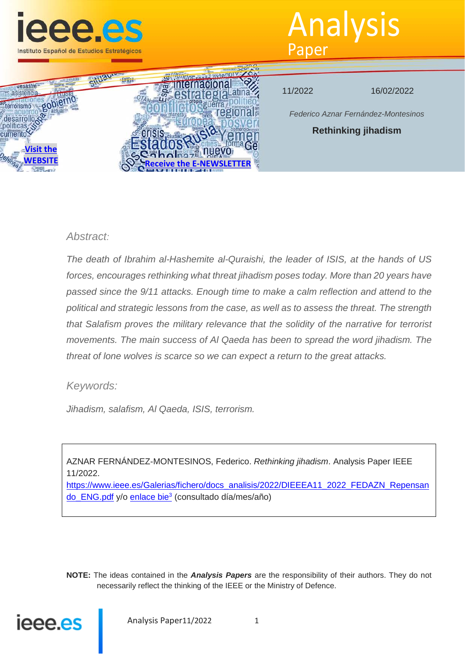

# Analysis Paper



11/2022 16/02/2022

*Federico Aznar Fernández-Montesinos*

**Rethinking jihadism**

# *Abstract:*

*The death of Ibrahim al-Hashemite al-Quraishi, the leader of ISIS, at the hands of US forces, encourages rethinking what threat jihadism poses today. More than 20 years have passed since the 9/11 attacks. Enough time to make a calm reflection and attend to the political and strategic lessons from the case, as well as to assess the threat. The strength that Salafism proves the military relevance that the solidity of the narrative for terrorist movements. The main success of Al Qaeda has been to spread the word jihadism. The threat of lone wolves is scarce so we can expect a return to the great attacks.*

# *Keywords:*

*Jihadism, salafism, Al Qaeda, ISIS, terrorism.*

AZNAR FERNÁNDEZ-MONTESINOS, Federico. *Rethinking jihadism*. Analysis Paper IEEE 11/2022.

https://www.ieee.es/Galerias/fichero/docs\_analisis/2022/DIEEEA11\_2022\_FEDAZN\_Repensan do ENG.pdf y/o enlace bie<sup>3</sup> (consultado día/mes/año)

**NOTE:** The ideas contained in the *Analysis Papers* are the responsibility of their authors. They do not necessarily reflect the thinking of the IEEE or the Ministry of Defence.

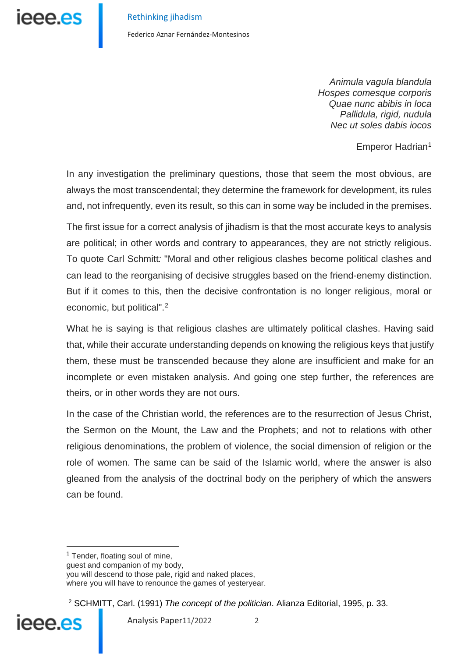Federico Aznar Fernández-Montesinos

*Animula vagula blandula Hospes comesque corporis Quae nunc abibis in loca Pallidula, rigid, nudula Nec ut soles dabis iocos* 

Emperor Hadrian<sup>[1](#page-1-0)</sup>

In any investigation the preliminary questions, those that seem the most obvious, are always the most transcendental; they determine the framework for development, its rules and, not infrequently, even its result, so this can in some way be included in the premises.

The first issue for a correct analysis of jihadism is that the most accurate keys to analysis are political; in other words and contrary to appearances, they are not strictly religious. To quote Carl Schmitt*:* "Moral and other religious clashes become political clashes and can lead to the reorganising of decisive struggles based on the friend-enemy distinction. But if it comes to this, then the decisive confrontation is no longer religious, moral or economic, but political".[2](#page-1-1)

What he is saying is that religious clashes are ultimately political clashes. Having said that, while their accurate understanding depends on knowing the religious keys that justify them, these must be transcended because they alone are insufficient and make for an incomplete or even mistaken analysis. And going one step further, the references are theirs, or in other words they are not ours.

In the case of the Christian world, the references are to the resurrection of Jesus Christ, the Sermon on the Mount, the Law and the Prophets; and not to relations with other religious denominations, the problem of violence, the social dimension of religion or the role of women. The same can be said of the Islamic world, where the answer is also gleaned from the analysis of the doctrinal body on the periphery of which the answers can be found.

<sup>1</sup> Tender, floating soul of mine, guest and companion of my body, you will descend to those pale, rigid and naked places, where you will have to renounce the games of yesteryear.

<span id="page-1-1"></span><span id="page-1-0"></span><sup>2</sup> SCHMITT, Carl. (1991) *The concept of the politician*. Alianza Editorial, 1995, p. 33.

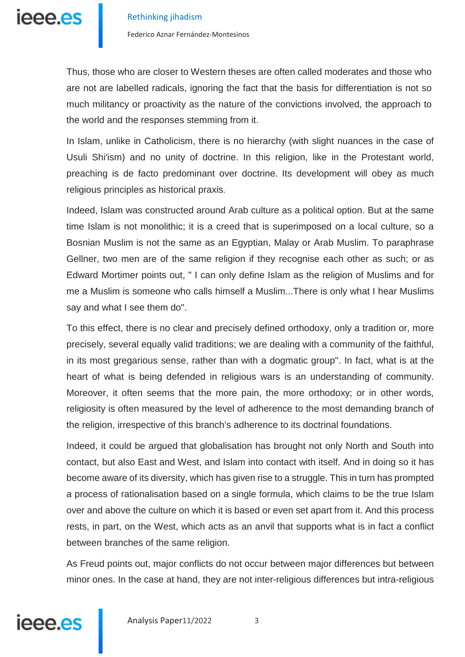

Thus, those who are closer to Western theses are often called moderates and those who are not are labelled radicals, ignoring the fact that the basis for differentiation is not so much militancy or proactivity as the nature of the convictions involved, the approach to the world and the responses stemming from it.

In Islam, unlike in Catholicism, there is no hierarchy (with slight nuances in the case of Usuli Shi'ism) and no unity of doctrine. In this religion, like in the Protestant world, preaching is de facto predominant over doctrine. Its development will obey as much religious principles as historical praxis.

Indeed, Islam was constructed around Arab culture as a political option. But at the same time Islam is not monolithic; it is a creed that is superimposed on a local culture, so a Bosnian Muslim is not the same as an Egyptian, Malay or Arab Muslim. To paraphrase Gellner, two men are of the same religion if they recognise each other as such; or as Edward Mortimer points out, " I can only define Islam as the religion of Muslims and for me a Muslim is someone who calls himself a Muslim...There is only what I hear Muslims say and what I see them do".

To this effect, there is no clear and precisely defined orthodoxy, only a tradition or, more precisely, several equally valid traditions; we are dealing with a community of the faithful, in its most gregarious sense, rather than with a dogmatic group". In fact, what is at the heart of what is being defended in religious wars is an understanding of community. Moreover, it often seems that the more pain, the more orthodoxy; or in other words, religiosity is often measured by the level of adherence to the most demanding branch of the religion, irrespective of this branch's adherence to its doctrinal foundations.

Indeed, it could be argued that globalisation has brought not only North and South into contact, but also East and West, and Islam into contact with itself. And in doing so it has become aware of its diversity, which has given rise to a struggle. This in turn has prompted a process of rationalisation based on a single formula, which claims to be the true Islam over and above the culture on which it is based or even set apart from it. And this process rests, in part, on the West, which acts as an anvil that supports what is in fact a conflict between branches of the same religion.

As Freud points out, major conflicts do not occur between major differences but between minor ones. In the case at hand, they are not inter-religious differences but intra-religious

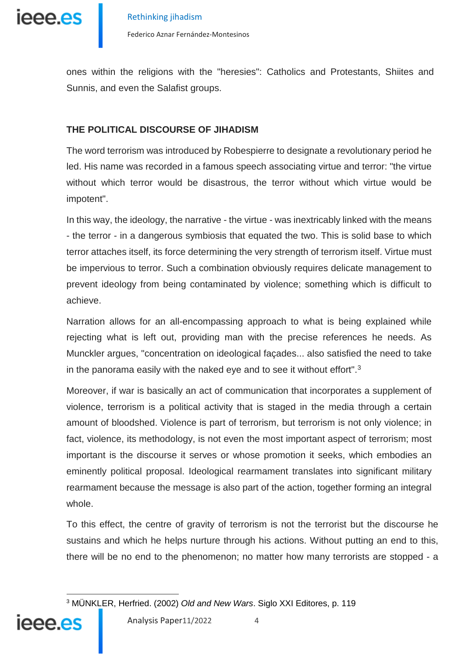

ones within the religions with the "heresies": Catholics and Protestants, Shiites and Sunnis, and even the Salafist groups.

# **THE POLITICAL DISCOURSE OF JIHADISM**

The word terrorism was introduced by Robespierre to designate a revolutionary period he led. His name was recorded in a famous speech associating virtue and terror: "the virtue without which terror would be disastrous, the terror without which virtue would be impotent".

In this way, the ideology, the narrative - the virtue - was inextricably linked with the means - the terror - in a dangerous symbiosis that equated the two. This is solid base to which terror attaches itself, its force determining the very strength of terrorism itself. Virtue must be impervious to terror. Such a combination obviously requires delicate management to prevent ideology from being contaminated by violence; something which is difficult to achieve.

Narration allows for an all-encompassing approach to what is being explained while rejecting what is left out, providing man with the precise references he needs. As Munckler argues, "concentration on ideological façades... also satisfied the need to take in the panorama easily with the naked eye and to see it without effort".[3](#page-3-0)

Moreover, if war is basically an act of communication that incorporates a supplement of violence, terrorism is a political activity that is staged in the media through a certain amount of bloodshed. Violence is part of terrorism, but terrorism is not only violence; in fact, violence, its methodology, is not even the most important aspect of terrorism; most important is the discourse it serves or whose promotion it seeks, which embodies an eminently political proposal. Ideological rearmament translates into significant military rearmament because the message is also part of the action, together forming an integral whole.

To this effect, the centre of gravity of terrorism is not the terrorist but the discourse he sustains and which he helps nurture through his actions. Without putting an end to this, there will be no end to the phenomenon; no matter how many terrorists are stopped - a

<span id="page-3-0"></span><sup>&</sup>lt;u>.</u> <sup>3</sup> MÜNKLER, Herfried. (2002) *Old and New Wars*. Siglo XXI Editores, p. 119

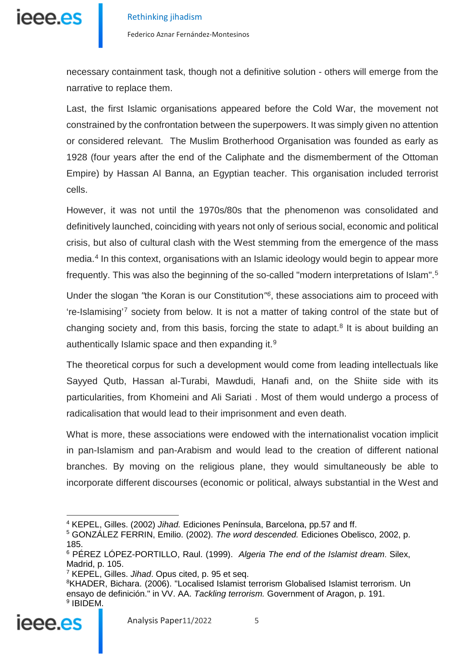

Federico Aznar Fernández-Montesinos

necessary containment task, though not a definitive solution - others will emerge from the narrative to replace them.

Last, the first Islamic organisations appeared before the Cold War, the movement not constrained by the confrontation between the superpowers. It was simply given no attention or considered relevant. The Muslim Brotherhood Organisation was founded as early as 1928 (four years after the end of the Caliphate and the dismemberment of the Ottoman Empire) by Hassan Al Banna, an Egyptian teacher. This organisation included terrorist cells.

However, it was not until the 1970s/80s that the phenomenon was consolidated and definitively launched, coinciding with years not only of serious social, economic and political crisis, but also of cultural clash with the West stemming from the emergence of the mass media.<sup>[4](#page-4-0)</sup> In this context, organisations with an Islamic ideology would begin to appear more frequently. This was also the beginning of the so-called "modern interpretations of Islam".[5](#page-4-1)

Under the slogan *"*the Koran is our Constitution*"[6](#page-4-2)*, these associations aim to proceed with 're-Islamising'[7](#page-4-3) society from below. It is not a matter of taking control of the state but of changing society and, from this basis, forcing the state to adapt.<sup>[8](#page-4-4)</sup> It is about building an authentically Islamic space and then expanding it.<sup>[9](#page-4-5)</sup>

The theoretical corpus for such a development would come from leading intellectuals like Sayyed Qutb, Hassan al-Turabi, Mawdudi, Hanafi and, on the Shiite side with its particularities, from Khomeini and Ali Sariati . Most of them would undergo a process of radicalisation that would lead to their imprisonment and even death.

What is more, these associations were endowed with the internationalist vocation implicit in pan-Islamism and pan-Arabism and would lead to the creation of different national branches. By moving on the religious plane, they would simultaneously be able to incorporate different discourses (economic or political, always substantial in the West and

<span id="page-4-5"></span><span id="page-4-4"></span><span id="page-4-3"></span><span id="page-4-2"></span><span id="page-4-1"></span><span id="page-4-0"></span><sup>&</sup>lt;sup>8</sup>KHADER, Bichara. (2006). "Localised Islamist terrorism Globalised Islamist terrorism. Un ensayo de definición." in VV. AA. *Tackling terrorism.* Government of Aragon, p. 191. <sup>9</sup> IBIDEM.



<sup>4</sup> KEPEL, Gilles. (2002) *Jihad.* Ediciones Península, Barcelona, pp.57 and ff.

<sup>5</sup> GONZÁLEZ FERRIN, Emilio. (2002). *The word descended.* Ediciones Obelisco, 2002, p. 185.

<sup>6</sup> PÉREZ LÓPEZ-PORTILLO, Raul. (1999). *Algeria The end of the Islamist dream*. Silex, Madrid, p. 105.

<sup>7</sup> KEPEL, Gilles. *Jihad*. Opus cited, p. 95 et seq.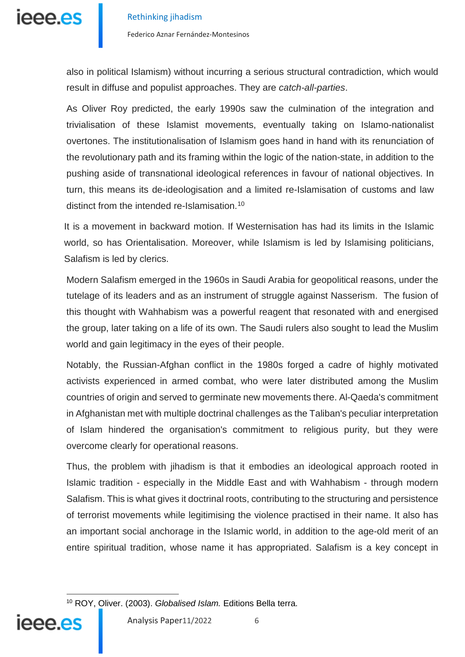

also in political Islamism) without incurring a serious structural contradiction, which would result in diffuse and populist approaches. They are *catch-all-parties*.

As Oliver Roy predicted, the early 1990s saw the culmination of the integration and trivialisation of these Islamist movements, eventually taking on Islamo-nationalist overtones. The institutionalisation of Islamism goes hand in hand with its renunciation of the revolutionary path and its framing within the logic of the nation-state, in addition to the pushing aside of transnational ideological references in favour of national objectives. In turn, this means its de-ideologisation and a limited re-Islamisation of customs and law distinct from the intended re-Islamisation.[10](#page-5-0)

It is a movement in backward motion. If Westernisation has had its limits in the Islamic world, so has Orientalisation. Moreover, while Islamism is led by Islamising politicians, Salafism is led by clerics.

Modern Salafism emerged in the 1960s in Saudi Arabia for geopolitical reasons, under the tutelage of its leaders and as an instrument of struggle against Nasserism. The fusion of this thought with Wahhabism was a powerful reagent that resonated with and energised the group, later taking on a life of its own. The Saudi rulers also sought to lead the Muslim world and gain legitimacy in the eyes of their people.

Notably, the Russian-Afghan conflict in the 1980s forged a cadre of highly motivated activists experienced in armed combat, who were later distributed among the Muslim countries of origin and served to germinate new movements there. Al-Qaeda's commitment in Afghanistan met with multiple doctrinal challenges as the Taliban's peculiar interpretation of Islam hindered the organisation's commitment to religious purity, but they were overcome clearly for operational reasons.

Thus, the problem with jihadism is that it embodies an ideological approach rooted in Islamic tradition - especially in the Middle East and with Wahhabism - through modern Salafism. This is what gives it doctrinal roots, contributing to the structuring and persistence of terrorist movements while legitimising the violence practised in their name. It also has an important social anchorage in the Islamic world, in addition to the age-old merit of an entire spiritual tradition, whose name it has appropriated. Salafism is a key concept in

<u>.</u>

<span id="page-5-0"></span><sup>10</sup> ROY, Oliver. (2003). *Globalised Islam.* Editions Bella terra.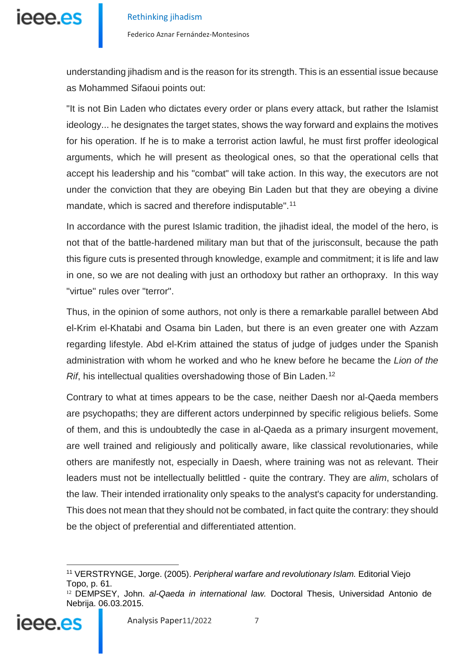

understanding jihadism and is the reason for its strength. This is an essential issue because as Mohammed Sifaoui points out:

"It is not Bin Laden who dictates every order or plans every attack, but rather the Islamist ideology... he designates the target states, shows the way forward and explains the motives for his operation. If he is to make a terrorist action lawful, he must first proffer ideological arguments, which he will present as theological ones, so that the operational cells that accept his leadership and his "combat" will take action. In this way, the executors are not under the conviction that they are obeying Bin Laden but that they are obeying a divine mandate, which is sacred and therefore indisputable".<sup>[11](#page-6-0)</sup>

In accordance with the purest Islamic tradition, the jihadist ideal, the model of the hero, is not that of the battle-hardened military man but that of the jurisconsult, because the path this figure cuts is presented through knowledge, example and commitment; it is life and law in one, so we are not dealing with just an orthodoxy but rather an orthopraxy. In this way "virtue" rules over "terror".

Thus, in the opinion of some authors, not only is there a remarkable parallel between Abd el-Krim el-Khatabi and Osama bin Laden, but there is an even greater one with Azzam regarding lifestyle. Abd el-Krim attained the status of judge of judges under the Spanish administration with whom he worked and who he knew before he became the *Lion of the Rif*, his intellectual qualities overshadowing those of Bin Laden.<sup>[12](#page-6-1)</sup>

Contrary to what at times appears to be the case, neither Daesh nor al-Qaeda members are psychopaths; they are different actors underpinned by specific religious beliefs. Some of them, and this is undoubtedly the case in al-Qaeda as a primary insurgent movement, are well trained and religiously and politically aware, like classical revolutionaries, while others are manifestly not, especially in Daesh, where training was not as relevant. Their leaders must not be intellectually belittled - quite the contrary. They are *alim*, scholars of the law. Their intended irrationality only speaks to the analyst's capacity for understanding. This does not mean that they should not be combated, in fact quite the contrary: they should be the object of preferential and differentiated attention.

<span id="page-6-1"></span><span id="page-6-0"></span><sup>12</sup> DEMPSEY, John. *al-Qaeda in international law.* Doctoral Thesis, Universidad Antonio de Nebrija. 06.03.2015.



<sup>-</sup><sup>11</sup> VERSTRYNGE, Jorge. (2005). *Peripheral warfare and revolutionary Islam.* Editorial Viejo Topo, p. 61.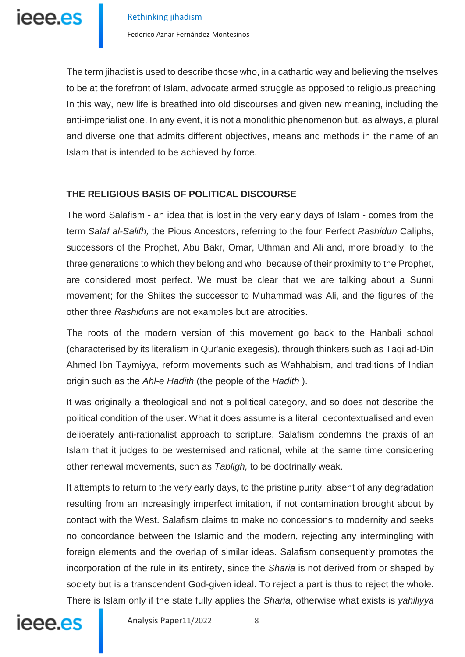

The term jihadist is used to describe those who, in a cathartic way and believing themselves to be at the forefront of Islam, advocate armed struggle as opposed to religious preaching. In this way, new life is breathed into old discourses and given new meaning, including the anti-imperialist one. In any event, it is not a monolithic phenomenon but, as always, a plural and diverse one that admits different objectives, means and methods in the name of an Islam that is intended to be achieved by force.

### **THE RELIGIOUS BASIS OF POLITICAL DISCOURSE**

The word Salafism - an idea that is lost in the very early days of Islam - comes from the term *Salaf al-Salifh,* the Pious Ancestors, referring to the four Perfect *Rashidun* Caliphs, successors of the Prophet, Abu Bakr, Omar, Uthman and Ali and, more broadly, to the three generations to which they belong and who, because of their proximity to the Prophet, are considered most perfect. We must be clear that we are talking about a Sunni movement; for the Shiites the successor to Muhammad was Ali, and the figures of the other three *Rashiduns* are not examples but are atrocities.

The roots of the modern version of this movement go back to the Hanbali school (characterised by its literalism in Qur'anic exegesis), through thinkers such as Taqi ad-Din Ahmed Ibn Taymiyya, reform movements such as Wahhabism, and traditions of Indian origin such as the *Ahl-e Hadith* (the people of the *Hadith* ).

It was originally a theological and not a political category, and so does not describe the political condition of the user. What it does assume is a literal, decontextualised and even deliberately anti-rationalist approach to scripture. Salafism condemns the praxis of an Islam that it judges to be westernised and rational, while at the same time considering other renewal movements, such as *Tabligh,* to be doctrinally weak.

It attempts to return to the very early days, to the pristine purity, absent of any degradation resulting from an increasingly imperfect imitation, if not contamination brought about by contact with the West. Salafism claims to make no concessions to modernity and seeks no concordance between the Islamic and the modern, rejecting any intermingling with foreign elements and the overlap of similar ideas. Salafism consequently promotes the incorporation of the rule in its entirety, since the *Sharia* is not derived from or shaped by society but is a transcendent God-given ideal. To reject a part is thus to reject the whole. There is Islam only if the state fully applies the *Sharia*, otherwise what exists is *yahiliyya*

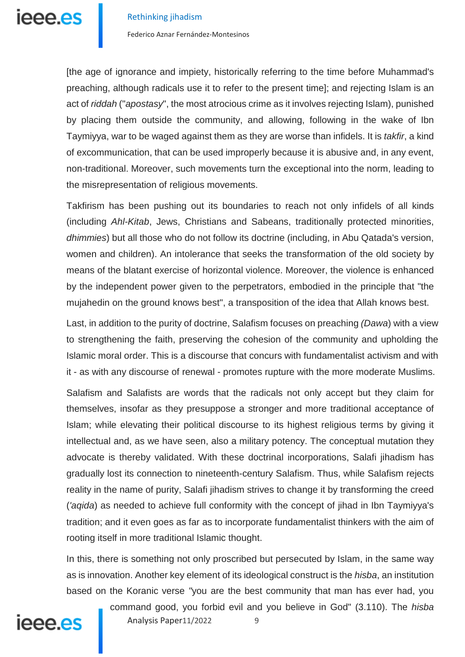

Federico Aznar Fernández-Montesinos

[the age of ignorance and impiety, historically referring to the time before Muhammad's preaching, although radicals use it to refer to the present time]; and rejecting Islam is an act of *riddah* ("*apostasy*", the most atrocious crime as it involves rejecting Islam), punished by placing them outside the community, and allowing, following in the wake of Ibn Taymiyya, war to be waged against them as they are worse than infidels. It is *takfir*, a kind of excommunication, that can be used improperly because it is abusive and, in any event, non-traditional. Moreover, such movements turn the exceptional into the norm, leading to the misrepresentation of religious movements.

Takfirism has been pushing out its boundaries to reach not only infidels of all kinds (including *Ahl-Kitab*, Jews, Christians and Sabeans, traditionally protected minorities, *dhimmies*) but all those who do not follow its doctrine (including, in Abu Qatada's version, women and children). An intolerance that seeks the transformation of the old society by means of the blatant exercise of horizontal violence. Moreover, the violence is enhanced by the independent power given to the perpetrators, embodied in the principle that "the mujahedin on the ground knows best", a transposition of the idea that Allah knows best.

Last, in addition to the purity of doctrine, Salafism focuses on preaching *(Dawa*) with a view to strengthening the faith, preserving the cohesion of the community and upholding the Islamic moral order. This is a discourse that concurs with fundamentalist activism and with it - as with any discourse of renewal - promotes rupture with the more moderate Muslims.

Salafism and Salafists are words that the radicals not only accept but they claim for themselves, insofar as they presuppose a stronger and more traditional acceptance of Islam; while elevating their political discourse to its highest religious terms by giving it intellectual and, as we have seen, also a military potency. The conceptual mutation they advocate is thereby validated. With these doctrinal incorporations, Salafi jihadism has gradually lost its connection to nineteenth-century Salafism. Thus, while Salafism rejects reality in the name of purity, Salafi jihadism strives to change it by transforming the creed (*'aqida*) as needed to achieve full conformity with the concept of jihad in Ibn Taymiyya's tradition; and it even goes as far as to incorporate fundamentalist thinkers with the aim of rooting itself in more traditional Islamic thought.

In this, there is something not only proscribed but persecuted by Islam, in the same way as is innovation. Another key element of its ideological construct is the *hisba*, an institution based on the Koranic verse *"*you are the best community that man has ever had, you

command good, you forbid evil and you believe in God" (3.110). The *hisba* 

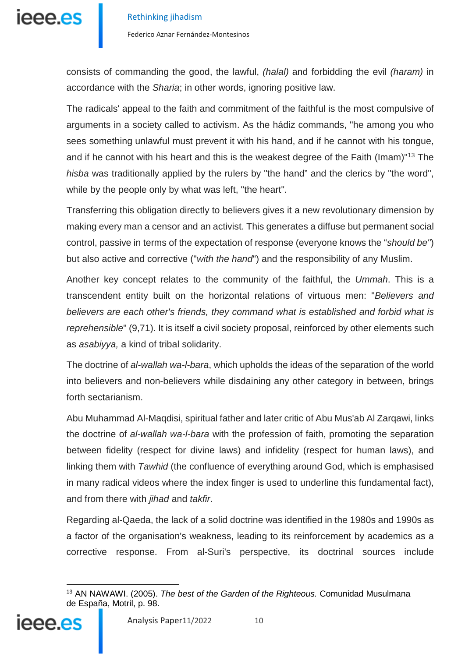

consists of commanding the good, the lawful, *(halal)* and forbidding the evil *(haram)* in accordance with the *Sharia*; in other words, ignoring positive law.

The radicals' appeal to the faith and commitment of the faithful is the most compulsive of arguments in a society called to activism. As the hádiz commands, "he among you who sees something unlawful must prevent it with his hand, and if he cannot with his tongue, and if he cannot with his heart and this is the weakest degree of the Faith (Imam)<sup>["13](#page-9-0)</sup> The *hisba* was traditionally applied by the rulers by "the hand" and the clerics by "the word", while by the people only by what was left, "the heart".

Transferring this obligation directly to believers gives it a new revolutionary dimension by making every man a censor and an activist. This generates a diffuse but permanent social control, passive in terms of the expectation of response (everyone knows the "*should be"*) but also active and corrective ("*with the hand*") and the responsibility of any Muslim.

Another key concept relates to the community of the faithful, the *Ummah*. This is a transcendent entity built on the horizontal relations of virtuous men: "*Believers and believers are each other's friends, they command what is established and forbid what is reprehensible*" (9,71). It is itself a civil society proposal, reinforced by other elements such as *asabiyya,* a kind of tribal solidarity.

The doctrine of *al-wallah wa-l-bara*, which upholds the ideas of the separation of the world into believers and non-believers while disdaining any other category in between, brings forth sectarianism.

Abu Muhammad Al-Maqdisi, spiritual father and later critic of Abu Mus'ab Al Zarqawi, links the doctrine of *al-wallah wa-l-bara* with the profession of faith, promoting the separation between fidelity (respect for divine laws) and infidelity (respect for human laws), and linking them with *Tawhid* (the confluence of everything around God, which is emphasised in many radical videos where the index finger is used to underline this fundamental fact), and from there with *jihad* and *takfir*.

Regarding al-Qaeda, the lack of a solid doctrine was identified in the 1980s and 1990s as a factor of the organisation's weakness, leading to its reinforcement by academics as a corrective response. From al-Suri's perspective, its doctrinal sources include

<span id="page-9-0"></span><sup>-</sup><sup>13</sup> AN NAWAWI. (2005). *The best of the Garden of the Righteous.* Comunidad Musulmana de España, Motril, p. 98.

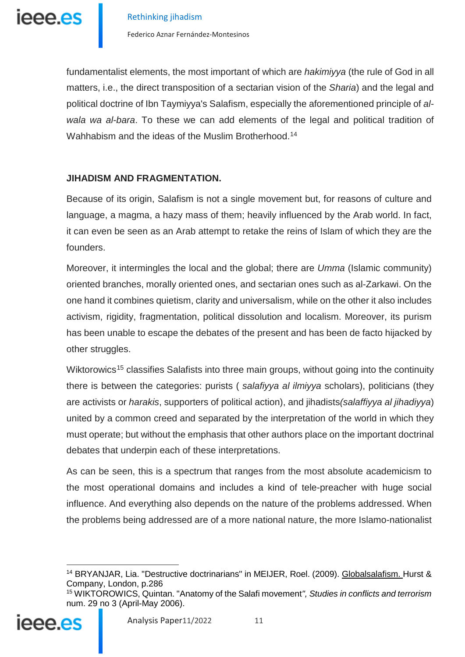

fundamentalist elements, the most important of which are *hakimiyya* (the rule of God in all matters, i.e., the direct transposition of a sectarian vision of the *Sharia*) and the legal and political doctrine of Ibn Taymiyya's Salafism, especially the aforementioned principle of *alwala wa al-bara*. To these we can add elements of the legal and political tradition of Wahhabism and the ideas of the Muslim Brotherhood.<sup>14</sup>

### **JIHADISM AND FRAGMENTATION.**

Because of its origin, Salafism is not a single movement but, for reasons of culture and language, a magma, a hazy mass of them; heavily influenced by the Arab world. In fact, it can even be seen as an Arab attempt to retake the reins of Islam of which they are the founders.

Moreover, it intermingles the local and the global; there are *Umma* (Islamic community) oriented branches, morally oriented ones, and sectarian ones such as al-Zarkawi. On the one hand it combines quietism, clarity and universalism, while on the other it also includes activism, rigidity, fragmentation, political dissolution and localism. Moreover, its purism has been unable to escape the debates of the present and has been de facto hijacked by other struggles.

Wiktorowics<sup>[15](#page-10-1)</sup> classifies Salafists into three main groups, without going into the continuity there is between the categories: purists ( *salafiyya al ilmiyya* scholars), politicians (they are activists or *harakis*, supporters of political action), and jihadists*(salaffiyya al jihadiyya*) united by a common creed and separated by the interpretation of the world in which they must operate; but without the emphasis that other authors place on the important doctrinal debates that underpin each of these interpretations.

As can be seen, this is a spectrum that ranges from the most absolute academicism to the most operational domains and includes a kind of tele-preacher with huge social influence. And everything also depends on the nature of the problems addressed. When the problems being addressed are of a more national nature, the more Islamo-nationalist

<span id="page-10-1"></span><span id="page-10-0"></span><sup>15</sup> WIKTOROWICS, Quintan. "Anatomy of the Salafi movement*", Studies in conflicts and terrorism* num. 29 no 3 (April-May 2006).



<sup>&</sup>lt;sup>14</sup> BRYANJAR, Lia. "Destructive doctrinarians" in MEIJER, Roel. (2009). Globalsalafism. Hurst & Company, London, p.286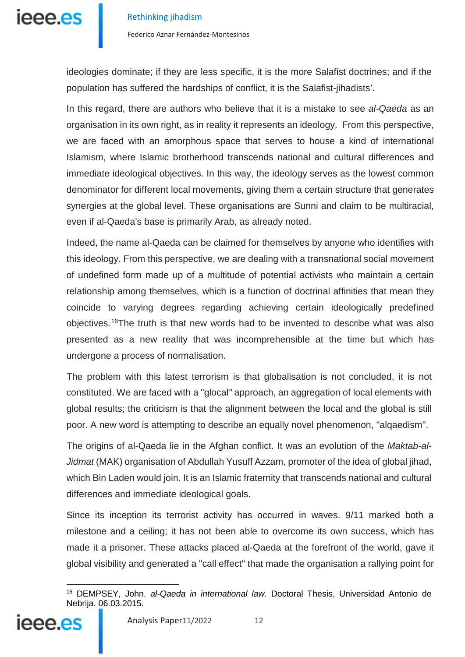

ideologies dominate; if they are less specific, it is the more Salafist doctrines; and if the population has suffered the hardships of conflict, it is the Salafist-jihadists'.

In this regard, there are authors who believe that it is a mistake to see *al-Qaeda* as an organisation in its own right, as in reality it represents an ideology. From this perspective, we are faced with an amorphous space that serves to house a kind of international Islamism, where Islamic brotherhood transcends national and cultural differences and immediate ideological objectives. In this way, the ideology serves as the lowest common denominator for different local movements, giving them a certain structure that generates synergies at the global level. These organisations are Sunni and claim to be multiracial, even if al-Qaeda's base is primarily Arab, as already noted.

Indeed, the name al-Qaeda can be claimed for themselves by anyone who identifies with this ideology. From this perspective, we are dealing with a transnational social movement of undefined form made up of a multitude of potential activists who maintain a certain relationship among themselves, which is a function of doctrinal affinities that mean they coincide to varying degrees regarding achieving certain ideologically predefined objectives.[16](#page-11-0)The truth is that new words had to be invented to describe what was also presented as a new reality that was incomprehensible at the time but which has undergone a process of normalisation.

The problem with this latest terrorism is that globalisation is not concluded, it is not constituted. We are faced with a "glocal*"* approach, an aggregation of local elements with global results; the criticism is that the alignment between the local and the global is still poor. A new word is attempting to describe an equally novel phenomenon, "alqaedism".

The origins of al-Qaeda lie in the Afghan conflict. It was an evolution of the *Maktab-al-Jidmat* (MAK) organisation of Abdullah Yusuff Azzam, promoter of the idea of global jihad, which Bin Laden would join. It is an Islamic fraternity that transcends national and cultural differences and immediate ideological goals.

Since its inception its terrorist activity has occurred in waves. 9/11 marked both a milestone and a ceiling; it has not been able to overcome its own success, which has made it a prisoner. These attacks placed al-Qaeda at the forefront of the world, gave it global visibility and generated a "call effect" that made the organisation a rallying point for

<span id="page-11-0"></span><sup>-</sup><sup>16</sup> DEMPSEY, John. *al-Qaeda in international law.* Doctoral Thesis, Universidad Antonio de Nebrija. 06.03.2015.

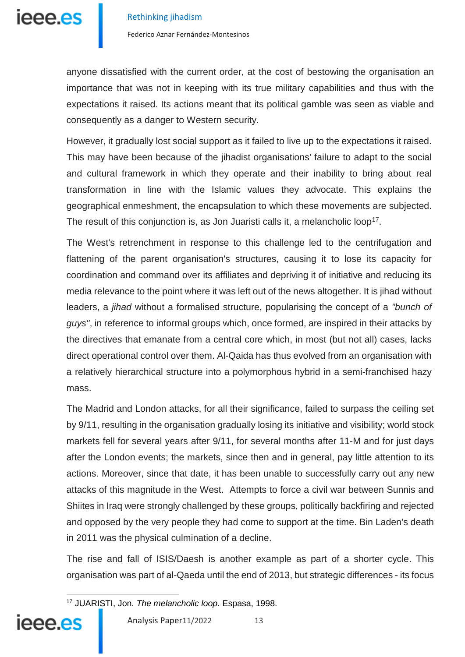

Federico Aznar Fernández-Montesinos

anyone dissatisfied with the current order, at the cost of bestowing the organisation an importance that was not in keeping with its true military capabilities and thus with the expectations it raised. Its actions meant that its political gamble was seen as viable and consequently as a danger to Western security.

However, it gradually lost social support as it failed to live up to the expectations it raised. This may have been because of the jihadist organisations' failure to adapt to the social and cultural framework in which they operate and their inability to bring about real transformation in line with the Islamic values they advocate. This explains the geographical enmeshment, the encapsulation to which these movements are subjected. The result of this conjunction is, as Jon Juaristi calls it, a melancholic loop<sup>[17](#page-12-0)</sup>.

The West's retrenchment in response to this challenge led to the centrifugation and flattening of the parent organisation's structures, causing it to lose its capacity for coordination and command over its affiliates and depriving it of initiative and reducing its media relevance to the point where it was left out of the news altogether. It is jihad without leaders, a *jihad* without a formalised structure, popularising the concept of a *"bunch of guys"*, in reference to informal groups which, once formed, are inspired in their attacks by the directives that emanate from a central core which, in most (but not all) cases, lacks direct operational control over them. Al-Qaida has thus evolved from an organisation with a relatively hierarchical structure into a polymorphous hybrid in a semi-franchised hazy mass.

The Madrid and London attacks, for all their significance, failed to surpass the ceiling set by 9/11, resulting in the organisation gradually losing its initiative and visibility; world stock markets fell for several years after 9/11, for several months after 11-M and for just days after the London events; the markets, since then and in general, pay little attention to its actions. Moreover, since that date, it has been unable to successfully carry out any new attacks of this magnitude in the West. Attempts to force a civil war between Sunnis and Shiites in Iraq were strongly challenged by these groups, politically backfiring and rejected and opposed by the very people they had come to support at the time. Bin Laden's death in 2011 was the physical culmination of a decline.

The rise and fall of ISIS/Daesh is another example as part of a shorter cycle. This organisation was part of al-Qaeda until the end of 2013, but strategic differences - its focus

<span id="page-12-0"></span><sup>17</sup> JUARISTI, Jon. *The melancholic loop.* Espasa, 1998.



<u>.</u>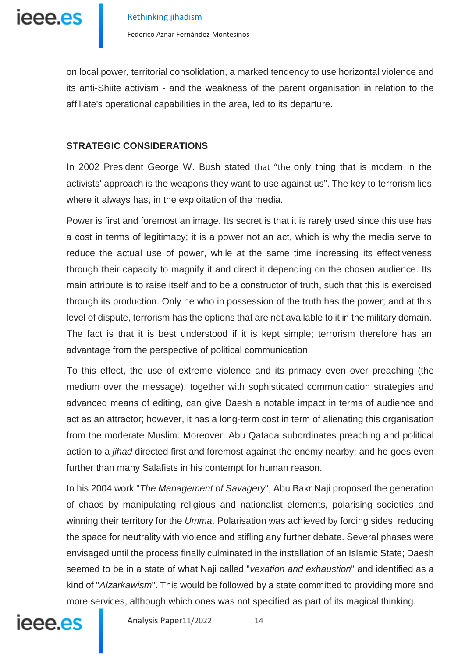leee.es

Federico Aznar Fernández-Montesinos

on local power, territorial consolidation, a marked tendency to use horizontal violence and its anti-Shiite activism - and the weakness of the parent organisation in relation to the affiliate's operational capabilities in the area, led to its departure.

# **STRATEGIC CONSIDERATIONS**

In 2002 President George W. Bush stated that "the only thing that is modern in the activists' approach is the weapons they want to use against us". The key to terrorism lies where it always has, in the exploitation of the media.

Power is first and foremost an image. Its secret is that it is rarely used since this use has a cost in terms of legitimacy; it is a power not an act, which is why the media serve to reduce the actual use of power, while at the same time increasing its effectiveness through their capacity to magnify it and direct it depending on the chosen audience. Its main attribute is to raise itself and to be a constructor of truth, such that this is exercised through its production. Only he who in possession of the truth has the power; and at this level of dispute, terrorism has the options that are not available to it in the military domain. The fact is that it is best understood if it is kept simple; terrorism therefore has an advantage from the perspective of political communication.

To this effect, the use of extreme violence and its primacy even over preaching (the medium over the message), together with sophisticated communication strategies and advanced means of editing, can give Daesh a notable impact in terms of audience and act as an attractor; however, it has a long-term cost in term of alienating this organisation from the moderate Muslim. Moreover, Abu Qatada subordinates preaching and political action to a *jihad* directed first and foremost against the enemy nearby; and he goes even further than many Salafists in his contempt for human reason.

In his 2004 work "*The Management of Savagery*", Abu Bakr Naji proposed the generation of chaos by manipulating religious and nationalist elements, polarising societies and winning their territory for the *Umma*. Polarisation was achieved by forcing sides, reducing the space for neutrality with violence and stifling any further debate. Several phases were envisaged until the process finally culminated in the installation of an Islamic State; Daesh seemed to be in a state of what Naji called "*vexation and exhaustion*" and identified as a kind of "*Alzarkawism*". This would be followed by a state committed to providing more and more services, although which ones was not specified as part of its magical thinking.



Analysis Paper11/2022 14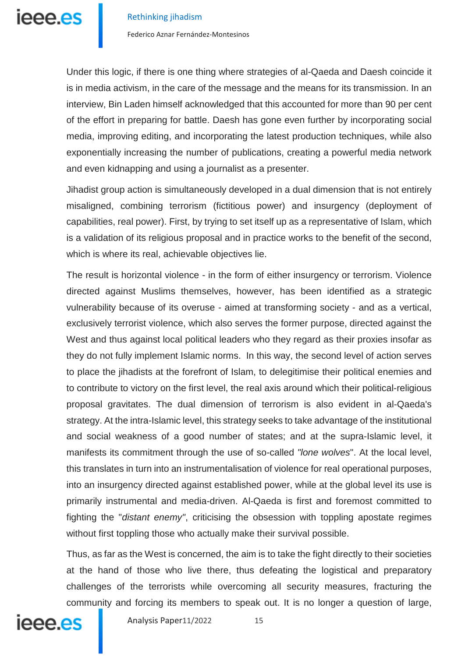

Federico Aznar Fernández-Montesinos

Under this logic, if there is one thing where strategies of al-Qaeda and Daesh coincide it is in media activism, in the care of the message and the means for its transmission. In an interview, Bin Laden himself acknowledged that this accounted for more than 90 per cent of the effort in preparing for battle. Daesh has gone even further by incorporating social media, improving editing, and incorporating the latest production techniques, while also exponentially increasing the number of publications, creating a powerful media network and even kidnapping and using a journalist as a presenter.

Jihadist group action is simultaneously developed in a dual dimension that is not entirely misaligned, combining terrorism (fictitious power) and insurgency (deployment of capabilities, real power). First, by trying to set itself up as a representative of Islam, which is a validation of its religious proposal and in practice works to the benefit of the second, which is where its real, achievable objectives lie.

The result is horizontal violence - in the form of either insurgency or terrorism. Violence directed against Muslims themselves, however, has been identified as a strategic vulnerability because of its overuse - aimed at transforming society - and as a vertical, exclusively terrorist violence, which also serves the former purpose, directed against the West and thus against local political leaders who they regard as their proxies insofar as they do not fully implement Islamic norms. In this way, the second level of action serves to place the jihadists at the forefront of Islam, to delegitimise their political enemies and to contribute to victory on the first level, the real axis around which their political-religious proposal gravitates. The dual dimension of terrorism is also evident in al-Qaeda's strategy. At the intra-Islamic level, this strategy seeks to take advantage of the institutional and social weakness of a good number of states; and at the supra-Islamic level, it manifests its commitment through the use of so-called *"lone wolves*". At the local level, this translates in turn into an instrumentalisation of violence for real operational purposes, into an insurgency directed against established power, while at the global level its use is primarily instrumental and media-driven. Al-Qaeda is first and foremost committed to fighting the "*distant enemy"*, criticising the obsession with toppling apostate regimes without first toppling those who actually make their survival possible.

Thus, as far as the West is concerned, the aim is to take the fight directly to their societies at the hand of those who live there, thus defeating the logistical and preparatory challenges of the terrorists while overcoming all security measures, fracturing the community and forcing its members to speak out. It is no longer a question of large,



Analysis Paper11/2022 15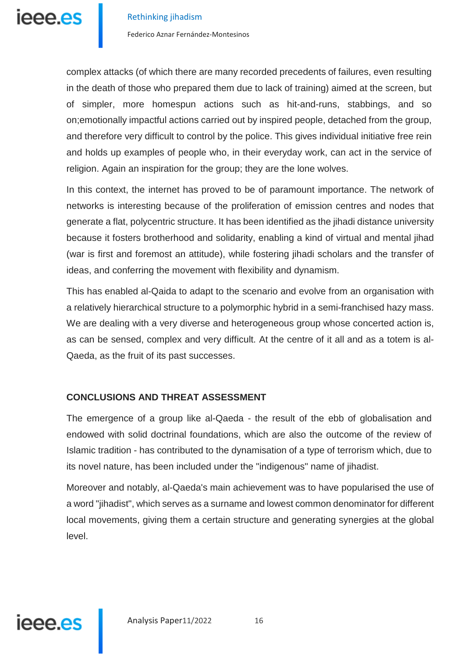

complex attacks (of which there are many recorded precedents of failures, even resulting in the death of those who prepared them due to lack of training) aimed at the screen, but of simpler, more homespun actions such as hit-and-runs, stabbings, and so on;emotionally impactful actions carried out by inspired people, detached from the group, and therefore very difficult to control by the police. This gives individual initiative free rein and holds up examples of people who, in their everyday work, can act in the service of religion. Again an inspiration for the group; they are the lone wolves.

In this context, the internet has proved to be of paramount importance. The network of networks is interesting because of the proliferation of emission centres and nodes that generate a flat, polycentric structure. It has been identified as the jihadi distance university because it fosters brotherhood and solidarity, enabling a kind of virtual and mental jihad (war is first and foremost an attitude), while fostering jihadi scholars and the transfer of ideas, and conferring the movement with flexibility and dynamism.

This has enabled al-Qaida to adapt to the scenario and evolve from an organisation with a relatively hierarchical structure to a polymorphic hybrid in a semi-franchised hazy mass. We are dealing with a very diverse and heterogeneous group whose concerted action is, as can be sensed, complex and very difficult. At the centre of it all and as a totem is al-Qaeda, as the fruit of its past successes.

# **CONCLUSIONS AND THREAT ASSESSMENT**

The emergence of a group like al-Qaeda - the result of the ebb of globalisation and endowed with solid doctrinal foundations, which are also the outcome of the review of Islamic tradition - has contributed to the dynamisation of a type of terrorism which, due to its novel nature, has been included under the "indigenous" name of jihadist.

Moreover and notably, al-Qaeda's main achievement was to have popularised the use of a word "jihadist", which serves as a surname and lowest common denominator for different local movements, giving them a certain structure and generating synergies at the global level.

# ieee.es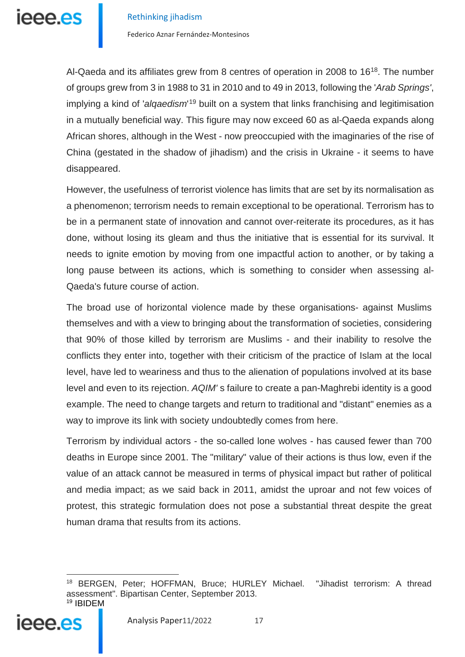leee.es

Federico Aznar Fernández-Montesinos

Al-Qaeda and its affiliates grew from 8 centres of operation in 2008 to 16[18.](#page-16-0) The number of groups grew from 3 in 1988 to 31 in 2010 and to 49 in 2013, following the '*Arab Springs'*, implying a kind of '*alqaedism*'<sup>[19](#page-16-1)</sup> built on a system that links franchising and legitimisation in a mutually beneficial way. This figure may now exceed 60 as al-Qaeda expands along African shores, although in the West - now preoccupied with the imaginaries of the rise of China (gestated in the shadow of jihadism) and the crisis in Ukraine - it seems to have disappeared.

However, the usefulness of terrorist violence has limits that are set by its normalisation as a phenomenon; terrorism needs to remain exceptional to be operational. Terrorism has to be in a permanent state of innovation and cannot over-reiterate its procedures, as it has done, without losing its gleam and thus the initiative that is essential for its survival. It needs to ignite emotion by moving from one impactful action to another, or by taking a long pause between its actions, which is something to consider when assessing al-Qaeda's future course of action.

The broad use of horizontal violence made by these organisations- against Muslims themselves and with a view to bringing about the transformation of societies, considering that 90% of those killed by terrorism are Muslims - and their inability to resolve the conflicts they enter into, together with their criticism of the practice of Islam at the local level, have led to weariness and thus to the alienation of populations involved at its base level and even to its rejection. *AQIM'* s failure to create a pan-Maghrebi identity is a good example. The need to change targets and return to traditional and "distant" enemies as a way to improve its link with society undoubtedly comes from here.

Terrorism by individual actors - the so-called lone wolves - has caused fewer than 700 deaths in Europe since 2001. The "military" value of their actions is thus low, even if the value of an attack cannot be measured in terms of physical impact but rather of political and media impact; as we said back in 2011, amidst the uproar and not few voices of protest, this strategic formulation does not pose a substantial threat despite the great human drama that results from its actions.

<span id="page-16-1"></span><span id="page-16-0"></span><sup>18</sup> BERGEN, Peter; HOFFMAN, Bruce; HURLEY Michael. "Jihadist terrorism: A thread assessment". Bipartisan Center, September 2013. <sup>19</sup> IBIDEM

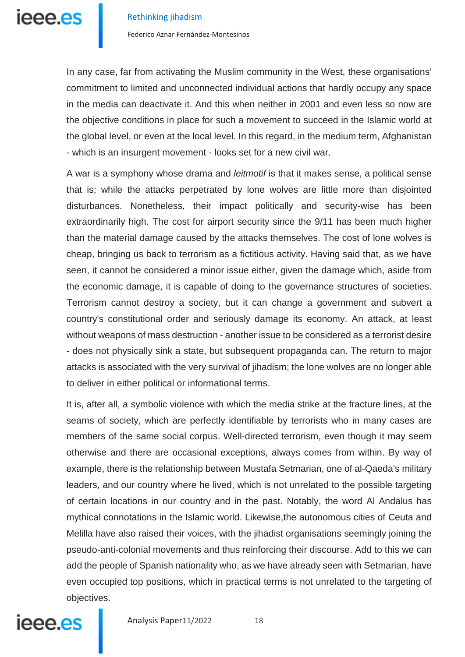

Federico Aznar Fernández-Montesinos

In any case, far from activating the Muslim community in the West, these organisations' commitment to limited and unconnected individual actions that hardly occupy any space in the media can deactivate it. And this when neither in 2001 and even less so now are the objective conditions in place for such a movement to succeed in the Islamic world at the global level, or even at the local level. In this regard, in the medium term, Afghanistan - which is an insurgent movement - looks set for a new civil war.

A war is a symphony whose drama and *leitmotif* is that it makes sense, a political sense that is; while the attacks perpetrated by lone wolves are little more than disjointed disturbances. Nonetheless, their impact politically and security-wise has been extraordinarily high. The cost for airport security since the 9/11 has been much higher than the material damage caused by the attacks themselves. The cost of lone wolves is cheap, bringing us back to terrorism as a fictitious activity. Having said that, as we have seen, it cannot be considered a minor issue either, given the damage which, aside from the economic damage, it is capable of doing to the governance structures of societies. Terrorism cannot destroy a society, but it can change a government and subvert a country's constitutional order and seriously damage its economy. An attack, at least without weapons of mass destruction - another issue to be considered as a terrorist desire - does not physically sink a state, but subsequent propaganda can. The return to major attacks is associated with the very survival of jihadism; the lone wolves are no longer able to deliver in either political or informational terms.

It is, after all, a symbolic violence with which the media strike at the fracture lines, at the seams of society, which are perfectly identifiable by terrorists who in many cases are members of the same social corpus. Well-directed terrorism, even though it may seem otherwise and there are occasional exceptions, always comes from within. By way of example, there is the relationship between Mustafa Setmarian, one of al-Qaeda's military leaders, and our country where he lived, which is not unrelated to the possible targeting of certain locations in our country and in the past. Notably, the word Al Andalus has mythical connotations in the Islamic world. Likewise,the autonomous cities of Ceuta and Melilla have also raised their voices, with the jihadist organisations seemingly joining the pseudo-anti-colonial movements and thus reinforcing their discourse. Add to this we can add the people of Spanish nationality who, as we have already seen with Setmarian, have even occupied top positions, which in practical terms is not unrelated to the targeting of objectives.



Analysis Paper11/2022 18